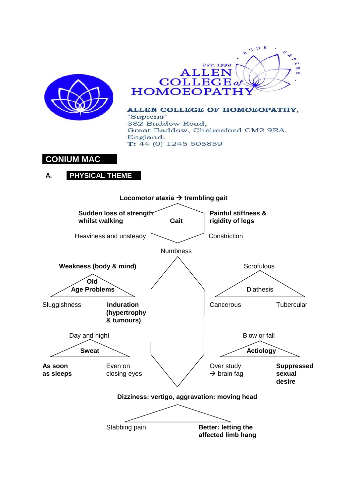



ALLEN COLLEGE OF HOMOEOPATHY, "Sapiens" 382 Baddow Road, Great Baddow, Chelmsford CM2 9RA. England.  $T: 44(0)$  1245 505859

# **CONIUM MAC**

# **A. PHYSICAL THEME**

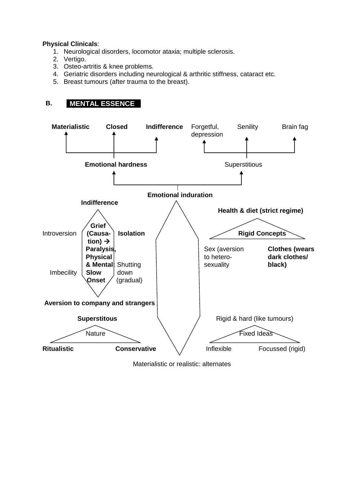### **Physical Clinicals**:

- 1. Neurological disorders, locomotor ataxia; multiple sclerosis.
- 2. Vertigo.
- 3. Osteo-artritis & knee problems.
- 4. Geriatric disorders including neurological & arthritic stiffness, cataract etc.
- 5. Breast tumours (after trauma to the breast).

# **B. MENTAL ESSENCE**



Materialistic or realistic: alternates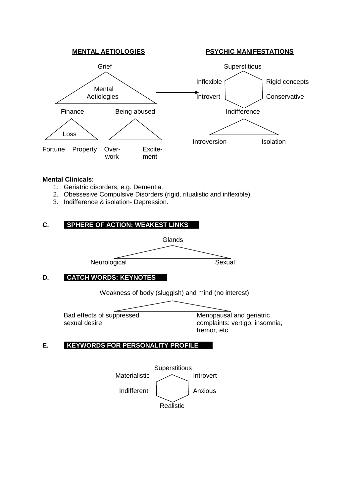

#### **Mental Clinicals**:

- 1. Geriatric disorders, e.g. Dementia.
- 2. Obessesive Compulsive Disorders (rigid, ritualistic and inflexible).
- 3. Indifference & isolation- Depression.

### **C. SPHERE OF ACTION: WEAKEST LINKS**



# **D. CATCH WORDS: KEYNOTES**

Weakness of body (sluggish) and mind (no interest)

Bad effects of suppressed Menopausal and geriatric

sexual desire complaints: vertigo, insomnia, tremor, etc.

## **E. KEYWORDS FOR PERSONALITY PROFILE**